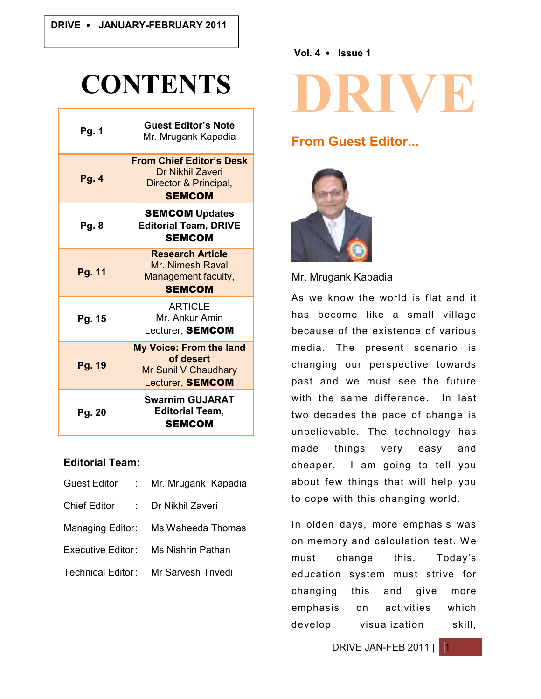# **CONTENTS**

| <b>Pg. 1</b> | <b>Guest Editor's Note</b><br>Mr. Mrugank Kapadia                                                    |
|--------------|------------------------------------------------------------------------------------------------------|
| Pg. 4        | <b>From Chief Editor's Desk</b><br><b>Dr Nikhil Zaveri</b><br>Director & Principal,<br><b>SEMCOM</b> |
| <b>Pg. 8</b> | <b>SEMCOM Updates</b><br><b>Editorial Team, DRIVE</b><br><b>SEMCOM</b>                               |
| Pg. 11       | <b>Research Article</b><br>Mr. Nimesh Raval<br>Management faculty,<br><b>SEMCOM</b>                  |
| Pg. 15       | <b>ARTICLE</b><br>Mr. Ankur Amin<br>Lecturer, SEMCOM                                                 |
| Pg. 19       | My Voice: From the land<br>of desert<br>Mr Sunil V Chaudhary<br>Lecturer, <b>SEMCOM</b>              |
| Pg. 20       | <b>Swarnim GUJARAT</b><br><b>Editorial Team,</b><br><b>SEMCOM</b>                                    |

#### **Editorial Team:**

| <b>Guest Editor</b><br>$\sim 100$        | Mr. Mrugank Kapadia                  |
|------------------------------------------|--------------------------------------|
| <b>Chief Editor</b><br><b>Contractor</b> | Dr Nikhil Zaveri                     |
|                                          | Managing Editor: Ms Waheeda Thomas   |
|                                          | Executive Editor: Ms Nishrin Pathan  |
|                                          | Technical Editor: Mr Sarvesh Trivedi |
|                                          |                                      |

**Vol. 4 Issue 1**

# **DRIVE**

# **From Guest Editor...**



Mr. Mrugank Kapadia

As we know the world is flat and it has become like a small village because of the existence of various media. The present scenario is changing our perspective towards past and we must see the future with the same difference. In last two decades the pace of change is unbelievable. The technology has made things very easy and cheaper. I am going to tell you about few things that will help you to cope with this changing world.

In olden days, more emphasis was on memory and calculation test. We must change this. Today's education system must strive for changing this and give more emphasis on activities which develop visualization skill,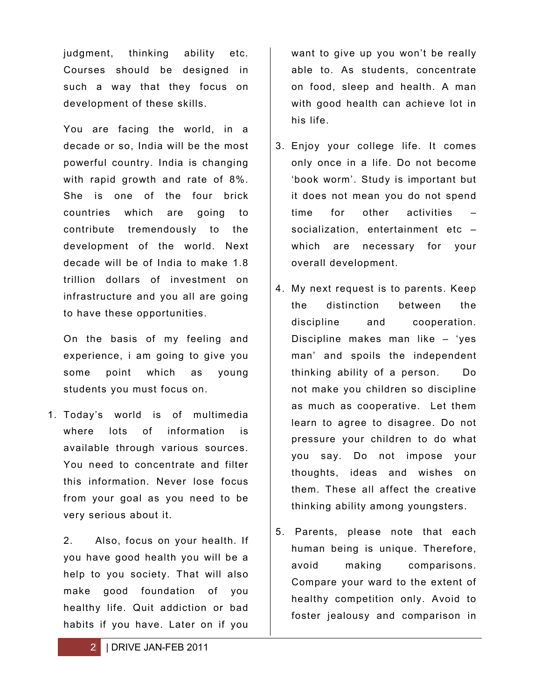judgment, thinking ability etc. Courses should be designed in such a way that they focus on development of these skills.

You are facing the world, in a decade or so, India will be the most powerful country. India is changing with rapid growth and rate of 8%. She is one of the four brick countries which are going to contribute tremendously to the development of the world. Next decade will be of India to make 1.8 trillion dollars of investment on infrastructure and you all are going to have these opportunities.

On the basis of my feeling and experience, i am going to give you some point which as young students you must focus on.

1. Today's world is of multimedia where lots of information is available through various sources. You need to concentrate and filter this information. Never lose focus from your goal as you need to be very serious about it.

2. Also, focus on your health. If you have good health you will be a help to you society. That will also make good foundation of you healthy life. Quit addiction or bad habits if you have. Later on if you

want to give up you won't be really able to. As students, concentrate on food, sleep and health. A man with good health can achieve lot in his life.

- 3. Enjoy your college life. It comes only once in a life. Do not become 'book worm'. Study is important but it does not mean you do not spend time for other activities socialization, entertainment etc which are necessary for your overall development.
- 4. My next request is to parents. Keep the distinction between the discipline and cooperation. Discipline makes man like – 'yes man' and spoils the independent thinking ability of a person. Do not make you children so discipline as much as cooperative. Let them learn to agree to disagree. Do not pressure your children to do what you say. Do not impose your thoughts, ideas and wishes on them. These all affect the creative thinking ability among youngsters.
- 5. Parents, please note that each human being is unique. Therefore, avoid making comparisons. Compare your ward to the extent of healthy competition only. Avoid to foster jealousy and comparison in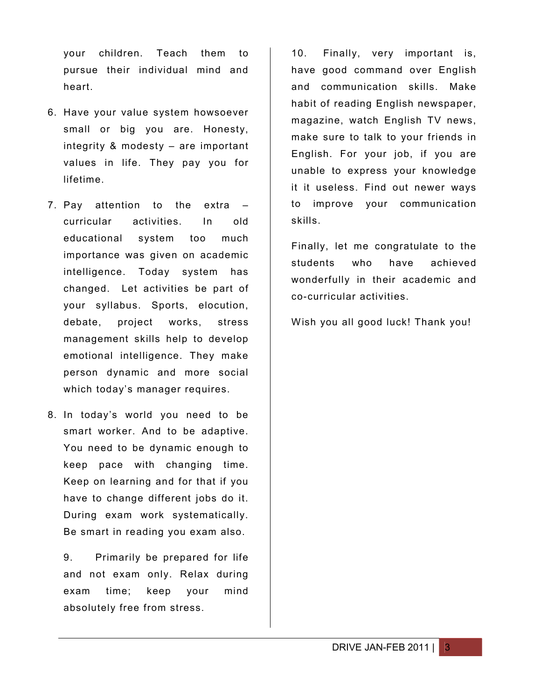your children. Teach them to pursue their individual mind and heart.

- 6. Have your value system howsoever small or big you are. Honesty, integrity & modesty – are important values in life. They pay you for lifetime.
- 7. Pay attention to the extra curricular activities. In old educational system too much importance was given on academic intelligence. Today system has changed. Let activities be part of your syllabus. Sports, elocution, debate, project works, stress management skills help to develop emotional intelligence. They make person dynamic and more social which today's manager requires.
- 8. In today's world you need to be smart worker. And to be adaptive. You need to be dynamic enough to keep pace with changing time. Keep on learning and for that if you have to change different jobs do it. During exam work systematically. Be smart in reading you exam also.

9. Primarily be prepared for life and not exam only. Relax during exam time; keep your mind absolutely free from stress.

10. Finally, very important is, have good command over English and communication skills. Make habit of reading English newspaper, magazine, watch English TV news, make sure to talk to your friends in English. For your job, if you are unable to express your knowledge it it useless. Find out newer ways to improve your communication skills.

Finally, let me congratulate to the students who have achieved wonderfully in their academic and co-curricular activities.

Wish you all good luck! Thank you!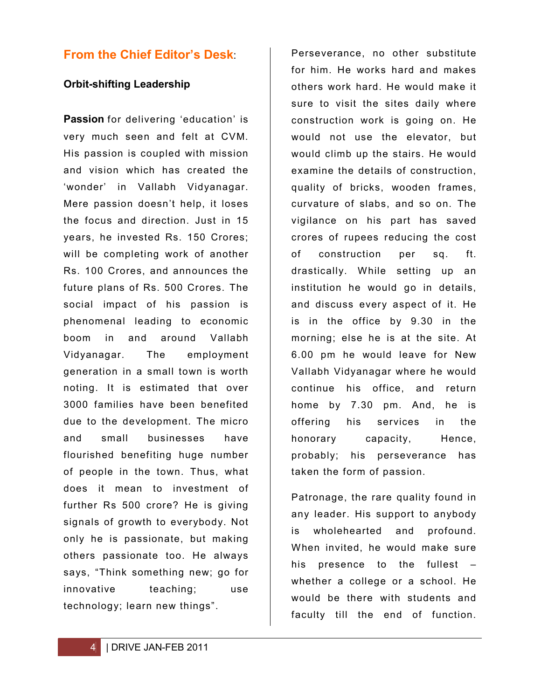# **From the Chief Editor's Desk**:

#### **Orbit-shifting Leadership**

**Passion** for delivering 'education' is very much seen and felt at CVM. His passion is coupled with mission and vision which has created the 'wonder' in Vallabh Vidyanagar. Mere passion doesn't help, it loses the focus and direction. Just in 15 years, he invested Rs. 150 Crores; will be completing work of another Rs. 100 Crores, and announces the future plans of Rs. 500 Crores. The social impact of his passion is phenomenal leading to economic boom in and around Vallabh Vidyanagar. The employment generation in a small town is worth noting. It is estimated that over 3000 families have been benefited due to the development. The micro and small businesses have flourished benefiting huge number of people in the town. Thus, what does it mean to investment of further Rs 500 crore? He is giving signals of growth to everybody. Not only he is passionate, but making others passionate too. He always says, "Think something new; go for innovative teaching; use technology; learn new things".

Perseverance, no other substitute for him. He works hard and makes others work hard. He would make it sure to visit the sites daily where construction work is going on. He would not use the elevator, but would climb up the stairs. He would examine the details of construction, quality of bricks, wooden frames, curvature of slabs, and so on. The vigilance on his part has saved crores of rupees reducing the cost of construction per sq. ft. drastically. While setting up an institution he would go in details, and discuss every aspect of it. He is in the office by 9.30 in the morning; else he is at the site. At 6.00 pm he would leave for New Vallabh Vidyanagar where he would continue his office, and return home by 7.30 pm. And, he is offering his services in the honorary capacity, Hence, probably; his perseverance has taken the form of passion.

Patronage, the rare quality found in any leader. His support to anybody is wholehearted and profound. When invited, he would make sure his presence to the fullest – whether a college or a school. He would be there with students and faculty till the end of function.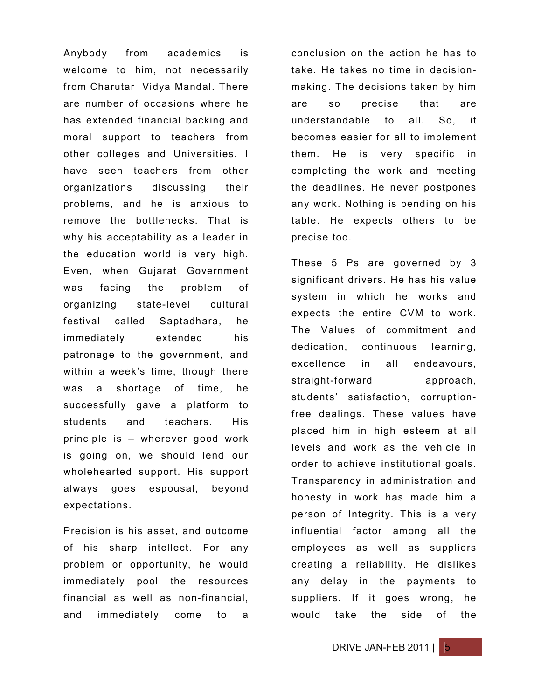Anybody from academics is welcome to him, not necessarily from Charutar Vidya Mandal. There are number of occasions where he has extended financial backing and moral support to teachers from other colleges and Universities. I have seen teachers from other organizations discussing their problems, and he is anxious to remove the bottlenecks. That is why his acceptability as a leader in the education world is very high. Even, when Gujarat Government was facing the problem of organizing state-level cultural festival called Saptadhara, he immediately extended his patronage to the government, and within a week's time, though there was a shortage of time, he successfully gave a platform to students and teachers. His principle is – wherever good work is going on, we should lend our wholehearted support. His support always goes espousal, beyond expectations.

Precision is his asset, and outcome of his sharp intellect. For any problem or opportunity, he would immediately pool the resources financial as well as non-financial, and immediately come to a

conclusion on the action he has to take. He takes no time in decisionmaking. The decisions taken by him are so precise that are understandable to all. So, it becomes easier for all to implement them. He is very specific in completing the work and meeting the deadlines. He never postpones any work. Nothing is pending on his table. He expects others to be precise too.

These 5 Ps are governed by 3 significant drivers. He has his value system in which he works and expects the entire CVM to work. The Values of commitment and dedication, continuous learning, excellence in all endeavours, straight-forward approach, students' satisfaction, corruptionfree dealings. These values have placed him in high esteem at all levels and work as the vehicle in order to achieve institutional goals. Transparency in administration and honesty in work has made him a person of Integrity. This is a very influential factor among all the employees as well as suppliers creating a reliability. He dislikes any delay in the payments to suppliers. If it goes wrong, he would take the side of the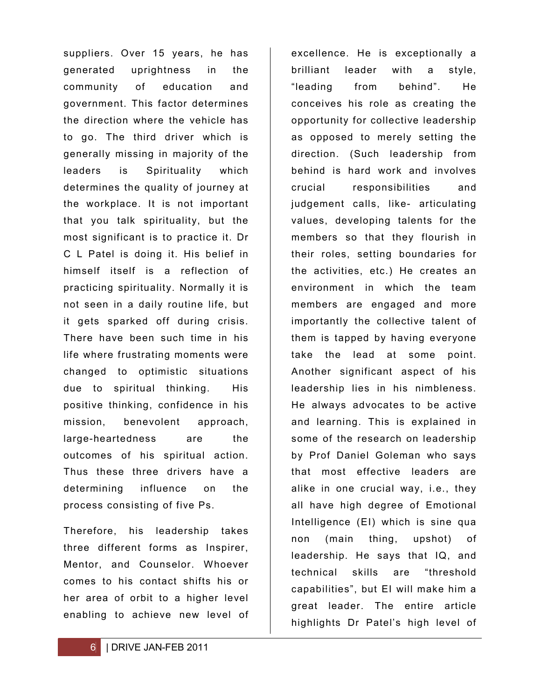suppliers. Over 15 years, he has generated uprightness in the community of education and government. This factor determines the direction where the vehicle has to go. The third driver which is generally missing in majority of the leaders is Spirituality which determines the quality of journey at the workplace. It is not important that you talk spirituality, but the most significant is to practice it. Dr C L Patel is doing it. His belief in himself itself is a reflection of practicing spirituality. Normally it is not seen in a daily routine life, but it gets sparked off during crisis. There have been such time in his life where frustrating moments were changed to optimistic situations due to spiritual thinking. His positive thinking, confidence in his mission, benevolent approach, large-heartedness are the outcomes of his spiritual action. Thus these three drivers have a determining influence on the process consisting of five Ps.

Therefore, his leadership takes three different forms as Inspirer, Mentor, and Counselor. Whoever comes to his contact shifts his or her area of orbit to a higher level enabling to achieve new level of

excellence. He is exceptionally a brilliant leader with a style, "leading from behind". He conceives his role as creating the opportunity for collective leadership as opposed to merely setting the direction. (Such leadership from behind is hard work and involves crucial responsibilities and judgement calls, like- articulating values, developing talents for the members so that they flourish in their roles, setting boundaries for the activities, etc.) He creates an environment in which the team members are engaged and more importantly the collective talent of them is tapped by having everyone take the lead at some point. Another significant aspect of his leadership lies in his nimbleness. He always advocates to be active and learning. This is explained in some of the research on leadership by Prof Daniel Goleman who says that most effective leaders are alike in one crucial way, i.e., they all have high degree of Emotional Intelligence (EI) which is sine qua non (main thing, upshot) of leadership. He says that IQ, and technical skills are "threshold capabilities", but EI will make him a great leader. The entire article highlights Dr Patel's high level of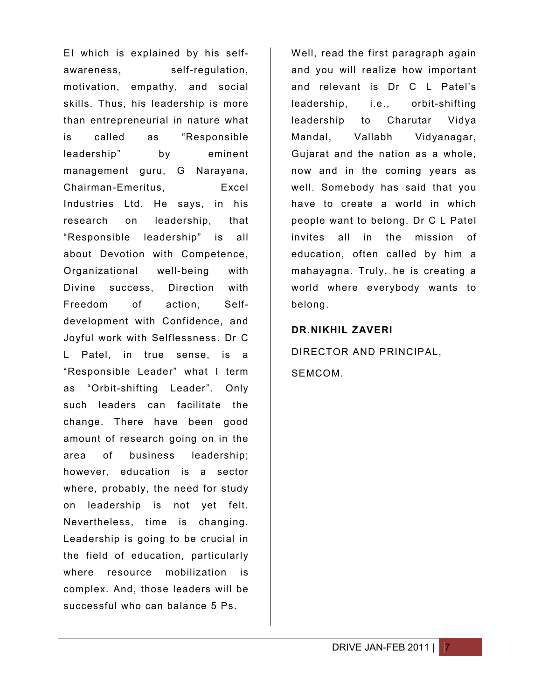EI which is explained by his selfawareness, self-regulation, motivation, empathy, and social skills. Thus, his leadership is more than entrepreneurial in nature what is called as "Responsible leadership" by eminent management guru, G Narayana, Chairman-Emeritus, Excel Industries Ltd. He says, in his research on leadership, that "Responsible leadership" is all about Devotion with Competence, Organizational well-being with Divine success, Direction with Freedom of action, Selfdevelopment with Confidence, and Joyful work with Selflessness. Dr C L Patel, in true sense, is a "Responsible Leader" what I term as "Orbit-shifting Leader". Only such leaders can facilitate the change. There have been good amount of research going on in the area of business leadership; however, education is a sector where, probably, the need for study on leadership is not yet felt. Nevertheless, time is changing. Leadership is going to be crucial in the field of education, particularly where resource mobilization is complex. And, those leaders will be successful who can balance 5 Ps.

Well, read the first paragraph again and you will realize how important and relevant is Dr C L Patel's leadership, i.e., orbit-shifting leadership to Charutar Vidya Mandal, Vallabh Vidyanagar, Gujarat and the nation as a whole, now and in the coming years as well. Somebody has said that you have to create a world in which people want to belong. Dr C L Patel invites all in the mission of education, often called by him a mahayagna. Truly, he is creating a world where everybody wants to belong.

#### **DR.NIKHIL ZAVERI**

DIRECTOR AND PRINCIPAL, **SEMCOM**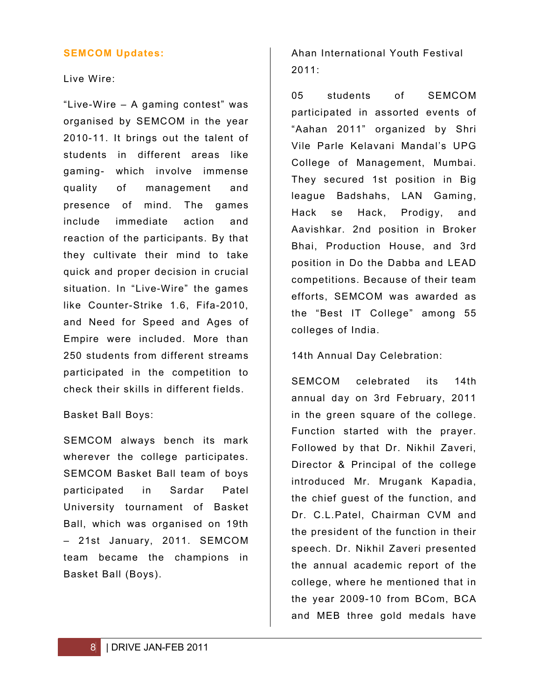#### **SEMCOM Updates:**

Live Wire:

"Live-Wire – A gaming contest" was organised by SEMCOM in the year 2010-11. It brings out the talent of students in different areas like gaming- which involve immense quality of management and presence of mind. The games include immediate action and reaction of the participants. By that they cultivate their mind to take quick and proper decision in crucial situation. In "Live-Wire" the games like Counter-Strike 1.6, Fifa-2010, and Need for Speed and Ages of Empire were included. More than 250 students from different streams participated in the competition to check their skills in different fields.

#### Basket Ball Boys:

SEMCOM always bench its mark wherever the college participates. SEMCOM Basket Ball team of boys participated in Sardar Patel University tournament of Basket Ball, which was organised on 19th – 21st January, 2011. SEMCOM team became the champions in Basket Ball (Boys).

Ahan International Youth Festival 2011:

05 students of SEMCOM participated in assorted events of "Aahan 2011" organized by Shri Vile Parle Kelavani Mandal's UPG College of Management, Mumbai. They secured 1st position in Big league Badshahs, LAN Gaming, Hack se Hack, Prodigy, and Aavishkar. 2nd position in Broker Bhai, Production House, and 3rd position in Do the Dabba and LEAD competitions. Because of their team efforts, SEMCOM was awarded as the "Best IT College" among 55 colleges of India.

14th Annual Day Celebration:

SEMCOM celebrated its 14th annual day on 3rd February, 2011 in the green square of the college. Function started with the prayer. Followed by that Dr. Nikhil Zaveri, Director & Principal of the college introduced Mr. Mrugank Kapadia, the chief guest of the function, and Dr. C.L.Patel, Chairman CVM and the president of the function in their speech. Dr. Nikhil Zaveri presented the annual academic report of the college, where he mentioned that in the year 2009-10 from BCom, BCA and MEB three gold medals have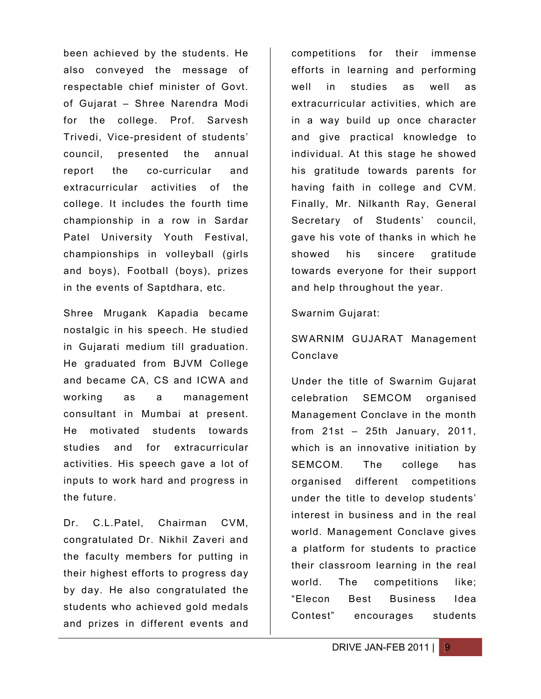been achieved by the students. He also conveyed the message of respectable chief minister of Govt. of Gujarat – Shree Narendra Modi for the college. Prof. Sarvesh Trivedi, Vice-president of students' council, presented the annual report the co-curricular and extracurricular activities of the college. It includes the fourth time championship in a row in Sardar Patel University Youth Festival, championships in volleyball (girls and boys), Football (boys), prizes in the events of Saptdhara, etc.

Shree Mrugank Kapadia became nostalgic in his speech. He studied in Gujarati medium till graduation. He graduated from BJVM College and became CA, CS and ICWA and working as a management consultant in Mumbai at present. He motivated students towards studies and for extracurricular activities. His speech gave a lot of inputs to work hard and progress in the future.

Dr. C.L.Patel, Chairman CVM, congratulated Dr. Nikhil Zaveri and the faculty members for putting in their highest efforts to progress day by day. He also congratulated the students who achieved gold medals and prizes in different events and

competitions for their immense efforts in learning and performing well in studies as well as extracurricular activities, which are in a way build up once character and give practical knowledge to individual. At this stage he showed his gratitude towards parents for having faith in college and CVM. Finally, Mr. Nilkanth Ray, General Secretary of Students' council, gave his vote of thanks in which he showed his sincere gratitude towards everyone for their support and help throughout the year.

#### Swarnim Gujarat:

### SWARNIM GUJARAT Management Conclave

Under the title of Swarnim Gujarat celebration SEMCOM organised Management Conclave in the month from 21st – 25th January, 2011, which is an innovative initiation by SEMCOM. The college has organised different competitions under the title to develop students' interest in business and in the real world. Management Conclave gives a platform for students to practice their classroom learning in the real world. The competitions like; "Elecon Best Business Idea Contest" encourages students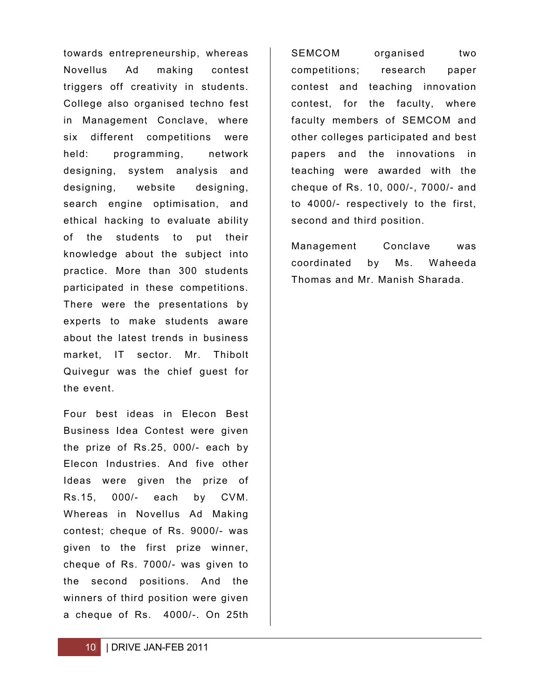towards entrepreneurship, whereas Novellus Ad making contest triggers off creativity in students. College also organised techno fest in Management Conclave, where six different competitions were held: programming, network designing, system analysis and designing, website designing, search engine optimisation, and ethical hacking to evaluate ability of the students to put their knowledge about the subject into practice. More than 300 students participated in these competitions. There were the presentations by experts to make students aware about the latest trends in business market, IT sector. Mr. Thibolt Quivegur was the chief guest for the event.

Four best ideas in Elecon Best Business Idea Contest were given the prize of Rs.25, 000/- each by Elecon Industries. And five other Ideas were given the prize of Rs.15, 000/- each by CVM. Whereas in Novellus Ad Making contest; cheque of Rs. 9000/- was given to the first prize winner, cheque of Rs. 7000/- was given to the second positions. And the winners of third position were given a cheque of Rs. 4000/-. On 25th

SEMCOM organised two competitions; research paper contest and teaching innovation contest, for the faculty, where faculty members of SEMCOM and other colleges participated and best papers and the innovations in teaching were awarded with the cheque of Rs. 10, 000/-, 7000/- and to 4000/- respectively to the first, second and third position.

Management Conclave was coordinated by Ms. Waheeda Thomas and Mr. Manish Sharada.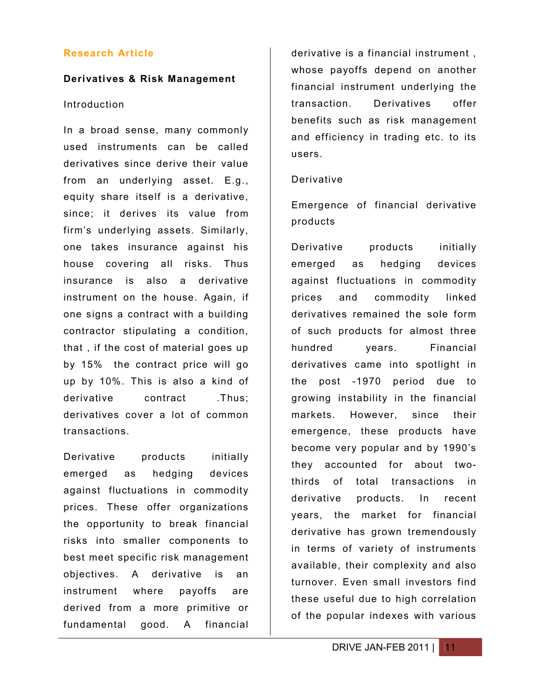#### **Research Article**

#### **Derivatives & Risk Management**

#### Introduction

In a broad sense, many commonly used instruments can be called derivatives since derive their value from an underlying asset. E.g., equity share itself is a derivative, since; it derives its value from firm's underlying assets. Similarly, one takes insurance against his house covering all risks. Thus insurance is also a derivative instrument on the house. Again, if one signs a contract with a building contractor stipulating a condition, that , if the cost of material goes up by 15% the contract price will go up by 10%. This is also a kind of derivative contract .Thus: derivatives cover a lot of common transactions.

Derivative products initially emerged as hedging devices against fluctuations in commodity prices. These offer organizations the opportunity to break financial risks into smaller components to best meet specific risk management objectives. A derivative is an instrument where payoffs are derived from a more primitive or fundamental good. A financial

derivative is a financial instrument , whose payoffs depend on another financial instrument underlying the transaction. Derivatives offer benefits such as risk management and efficiency in trading etc. to its users.

#### Derivative

Emergence of financial derivative products

Derivative products initially emerged as hedging devices against fluctuations in commodity prices and commodity linked derivatives remained the sole form of such products for almost three hundred years. Financial derivatives came into spotlight in the post -1970 period due to growing instability in the financial markets. However, since their emergence, these products have become very popular and by 1990's they accounted for about twothirds of total transactions in derivative products. In recent years, the market for financial derivative has grown tremendously in terms of variety of instruments available, their complexity and also turnover. Even small investors find these useful due to high correlation of the popular indexes with various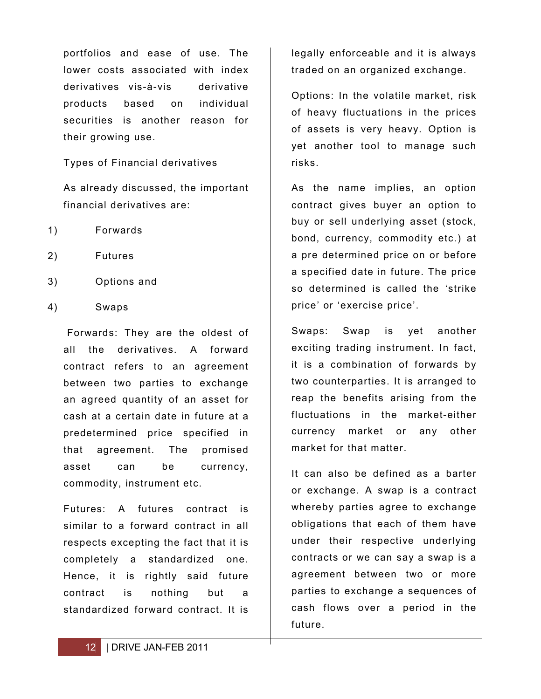portfolios and ease of use. The lower costs associated with index derivatives vis-à-vis derivative products based on individual securities is another reason for their growing use.

Types of Financial derivatives

As already discussed, the important financial derivatives are:

- 1) Forwards
- 2) Futures
- 3) Options and
- 4) Swaps

Forwards: They are the oldest of all the derivatives. A forward contract refers to an agreement between two parties to exchange an agreed quantity of an asset for cash at a certain date in future at a predetermined price specified in that agreement. The promised asset can be currency, commodity, instrument etc.

Futures: A futures contract is similar to a forward contract in all respects excepting the fact that it is completely a standardized one. Hence, it is rightly said future contract is nothing but a standardized forward contract. It is

legally enforceable and it is always traded on an organized exchange.

Options: In the volatile market, risk of heavy fluctuations in the prices of assets is very heavy. Option is yet another tool to manage such risks.

As the name implies, an option contract gives buyer an option to buy or sell underlying asset (stock, bond, currency, commodity etc.) at a pre determined price on or before a specified date in future. The price so determined is called the 'strike price' or 'exercise price'.

Swaps: Swap is yet another exciting trading instrument. In fact, it is a combination of forwards by two counterparties. It is arranged to reap the benefits arising from the fluctuations in the market-either currency market or any other market for that matter.

It can also be defined as a barter or exchange. A swap is a contract whereby parties agree to exchange obligations that each of them have under their respective underlying contracts or we can say a swap is a agreement between two or more parties to exchange a sequences of cash flows over a period in the future.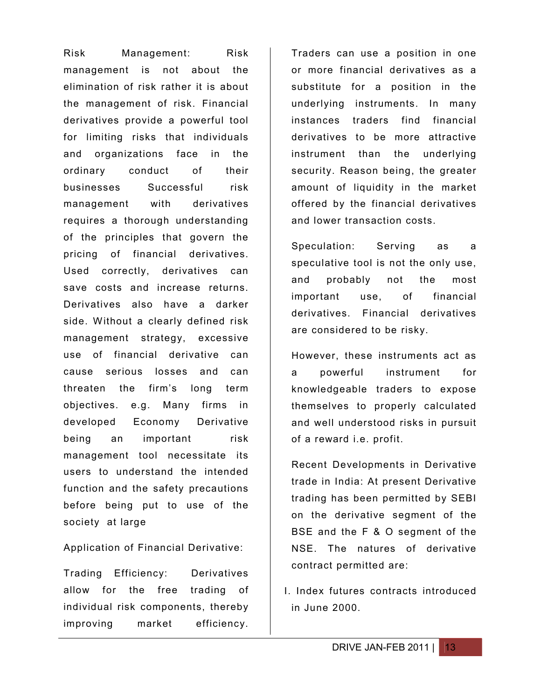Risk Management: Risk management is not about the elimination of risk rather it is about the management of risk. Financial derivatives provide a powerful tool for limiting risks that individuals and organizations face in the ordinary conduct of their businesses Successful risk management with derivatives requires a thorough understanding of the principles that govern the pricing of financial derivatives. Used correctly, derivatives can save costs and increase returns. Derivatives also have a darker side. Without a clearly defined risk management strategy, excessive use of financial derivative can cause serious losses and can threaten the firm's long term objectives. e.g. Many firms in developed Economy Derivative being an important risk management tool necessitate its users to understand the intended function and the safety precautions before being put to use of the society at large

Application of Financial Derivative:

Trading Efficiency: Derivatives allow for the free trading of individual risk components, thereby improving market efficiency.

Traders can use a position in one or more financial derivatives as a substitute for a position in the underlying instruments. In many instances traders find financial derivatives to be more attractive instrument than the underlying security. Reason being, the greater amount of liquidity in the market offered by the financial derivatives and lower transaction costs.

Speculation: Serving as a speculative tool is not the only use, and probably not the most important use, of financial derivatives. Financial derivatives are considered to be risky.

However, these instruments act as a powerful instrument for knowledgeable traders to expose themselves to properly calculated and well understood risks in pursuit of a reward i.e. profit.

Recent Developments in Derivative trade in India: At present Derivative trading has been permitted by SEBI on the derivative segment of the BSE and the F & O segment of the NSE. The natures of derivative contract permitted are:

I. Index futures contracts introduced in June 2000.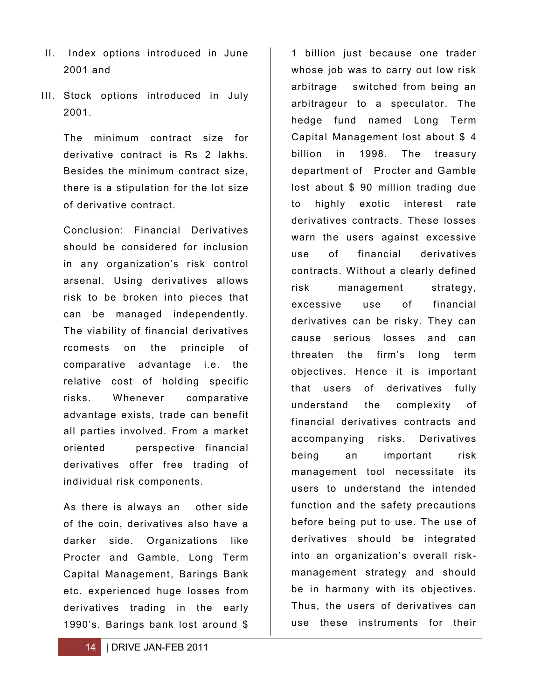- II. Index options introduced in June 2001 and
- III. Stock options introduced in July 2001.

The minimum contract size for derivative contract is Rs 2 lakhs. Besides the minimum contract size, there is a stipulation for the lot size of derivative contract.

Conclusion: Financial Derivatives should be considered for inclusion in any organization's risk control arsenal. Using derivatives allows risk to be broken into pieces that can be managed independently. The viability of financial derivatives rcomests on the principle of comparative advantage i.e. the relative cost of holding specific risks. Whenever comparative advantage exists, trade can benefit all parties involved. From a market oriented perspective financial derivatives offer free trading of individual risk components.

As there is always an other side of the coin, derivatives also have a darker side. Organizations like Procter and Gamble, Long Term Capital Management, Barings Bank etc. experienced huge losses from derivatives trading in the early 1990's. Barings bank lost around \$

14 | DRIVE JAN-FEB 2011

1 billion just because one trader whose job was to carry out low risk arbitrage switched from being an arbitrageur to a speculator. The hedge fund named Long Term Capital Management lost about \$ 4 billion in 1998. The treasury department of Procter and Gamble lost about \$ 90 million trading due to highly exotic interest rate derivatives contracts. These losses warn the users against excessive use of financial derivatives contracts. Without a clearly defined risk management strategy, excessive use of financial derivatives can be risky. They can cause serious losses and can threaten the firm's long term objectives. Hence it is important that users of derivatives fully understand the complexity of financial derivatives contracts and accompanying risks. Derivatives being an important risk management tool necessitate its users to understand the intended function and the safety precautions before being put to use. The use of derivatives should be integrated into an organization's overall riskmanagement strategy and should be in harmony with its objectives. Thus, the users of derivatives can use these instruments for their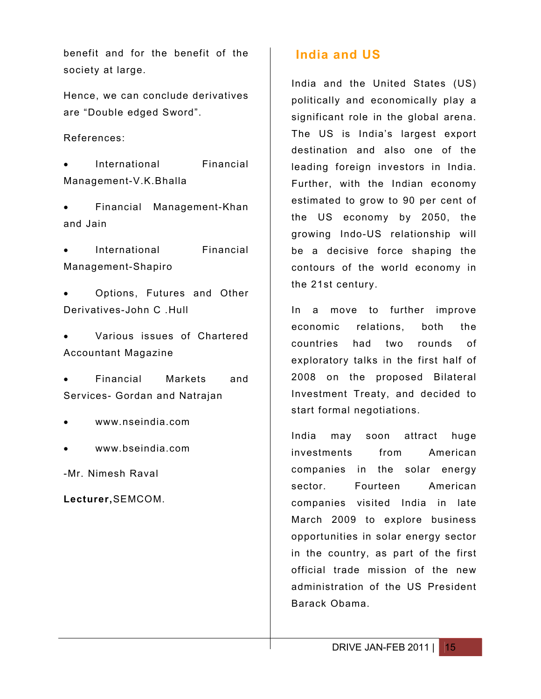benefit and for the benefit of the society at large.

Hence, we can conclude derivatives are "Double edged Sword".

References:

 International Financial Management-V.K.Bhalla

 Financial Management-Khan and Jain

 International Financial Management-Shapiro

 Options, Futures and Other Derivatives-John C .Hull

 Various issues of Chartered Accountant Magazine

 Financial Markets and Services- Gordan and Natrajan

- www.nseindia.com
- www.bseindia.com

-Mr. Nimesh Raval

**Lecturer,**SEMCOM.

# **India and US**

India and the United States (US) politically and economically play a significant role in the global arena. The US is India's largest export destination and also one of the leading foreign investors in India. Further, with the Indian economy estimated to grow to 90 per cent of the US economy by 2050, the growing Indo-US relationship will be a decisive force shaping the contours of the world economy in the 21st century.

In a move to further improve economic relations, both the countries had two rounds of exploratory talks in the first half of 2008 on the proposed Bilateral Investment Treaty, and decided to start formal negotiations.

India may soon attract huge investments from American companies in the solar energy sector. Fourteen American companies visited India in late March 2009 to explore business opportunities in solar energy sector in the country, as part of the first official trade mission of the new administration of the US President Barack Obama.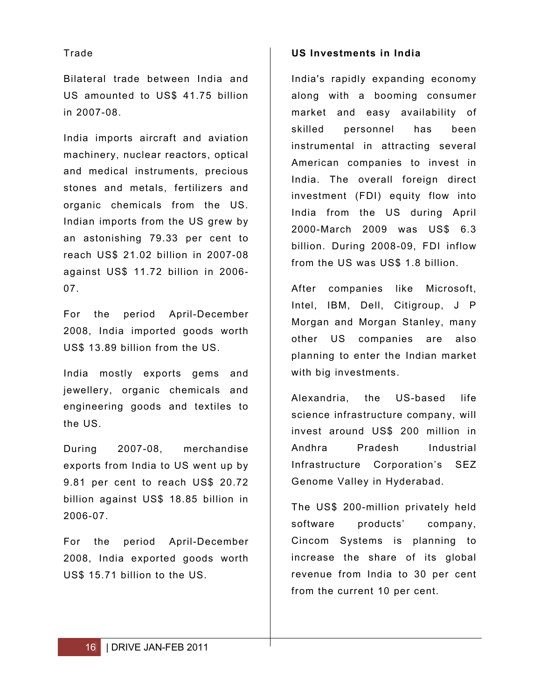#### Trade

Bilateral trade between India and US amounted to US\$ 41.75 billion in 2007-08.

India imports aircraft and aviation machinery, nuclear reactors, optical and medical instruments, precious stones and metals, fertilizers and organic chemicals from the US. Indian imports from the US grew by an astonishing 79.33 per cent to reach US\$ 21.02 billion in 2007-08 against US\$ 11.72 billion in 2006- 07.

For the period April-December 2008, India imported goods worth US\$ 13.89 billion from the US.

India mostly exports gems and jewellery, organic chemicals and engineering goods and textiles to the US.

During 2007-08, merchandise exports from India to US went up by 9.81 per cent to reach US\$ 20.72 billion against US\$ 18.85 billion in 2006-07.

For the period April-December 2008, India exported goods worth US\$ 15.71 billion to the US.

#### **US Investments in India**

India's rapidly expanding economy along with a booming consumer market and easy availability of skilled personnel has been instrumental in attracting several American companies to invest in India. The overall foreign direct investment (FDI) equity flow into India from the US during April 2000-March 2009 was US\$ 6.3 billion. During 2008-09, FDI inflow from the US was US\$ 1.8 billion.

After companies like Microsoft, Intel, IBM, Dell, Citigroup, J P Morgan and Morgan Stanley, many other US companies are also planning to enter the Indian market with big investments.

Alexandria, the US-based life science infrastructure company, will invest around US\$ 200 million in Andhra Pradesh Industrial Infrastructure Corporation's SEZ Genome Valley in Hyderabad.

The US\$ 200-million privately held software products' company, Cincom Systems is planning to increase the share of its global revenue from India to 30 per cent from the current 10 per cent.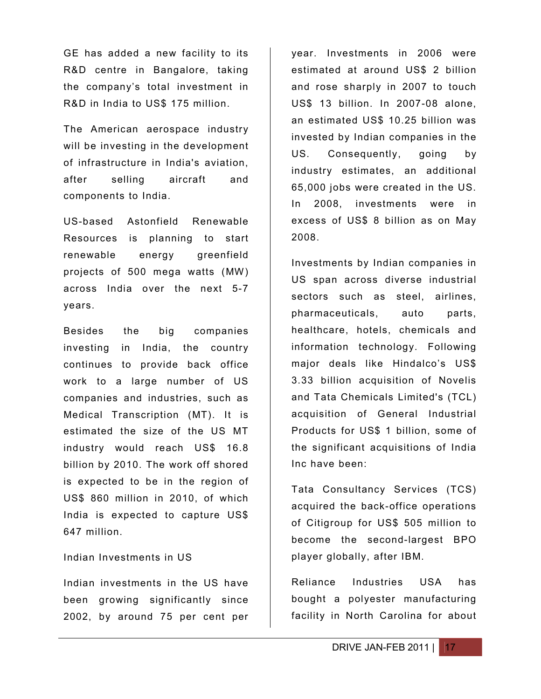GE has added a new facility to its R&D centre in Bangalore, taking the company's total investment in R&D in India to US\$ 175 million.

The American aerospace industry will be investing in the development of infrastructure in India's aviation, after selling aircraft and components to India.

US-based Astonfield Renewable Resources is planning to start renewable energy greenfield projects of 500 mega watts (MW) across India over the next 5-7 years.

Besides the big companies investing in India, the country continues to provide back office work to a large number of US companies and industries, such as Medical Transcription (MT). It is estimated the size of the US MT industry would reach US\$ 16.8 billion by 2010. The work off shored is expected to be in the region of US\$ 860 million in 2010, of which India is expected to capture US\$ 647 million.

Indian Investments in US

Indian investments in the US have been growing significantly since 2002, by around 75 per cent per

year. Investments in 2006 were estimated at around US\$ 2 billion and rose sharply in 2007 to touch US\$ 13 billion. In 2007-08 alone, an estimated US\$ 10.25 billion was invested by Indian companies in the US. Consequently, going by industry estimates, an additional 65,000 jobs were created in the US. In 2008, investments were in excess of US\$ 8 billion as on May 2008.

Investments by Indian companies in US span across diverse industrial sectors such as steel, airlines, pharmaceuticals, auto parts, healthcare, hotels, chemicals and information technology. Following major deals like Hindalco's US\$ 3.33 billion acquisition of Novelis and Tata Chemicals Limited's (TCL) acquisition of General Industrial Products for US\$ 1 billion, some of the significant acquisitions of India Inc have been:

Tata Consultancy Services (TCS) acquired the back-office operations of Citigroup for US\$ 505 million to become the second-largest BPO player globally, after IBM.

Reliance Industries USA has bought a polyester manufacturing facility in North Carolina for about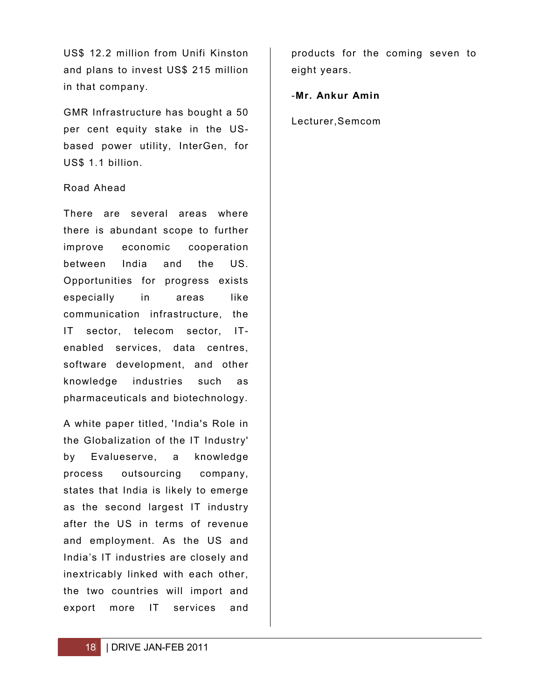US\$ 12.2 million from Unifi Kinston and plans to invest US\$ 215 million in that company.

GMR Infrastructure has bought a 50 per cent equity stake in the USbased power utility, InterGen, for US\$ 1.1 billion.

#### Road Ahead

There are several areas where there is abundant scope to further improve economic cooperation between India and the US. Opportunities for progress exists especially in areas like communication infrastructure, the IT sector, telecom sector, ITenabled services, data centres, software development, and other knowledge industries such as pharmaceuticals and biotechnology.

A white paper titled, 'India's Role in the Globalization of the IT Industry' by Evalueserve, a knowledge process outsourcing company, states that India is likely to emerge as the second largest IT industry after the US in terms of revenue and employment. As the US and India's IT industries are closely and inextricably linked with each other, the two countries will import and export more IT services and

products for the coming seven to eight years.

-**Mr. Ankur Amin**

Lecturer,Semcom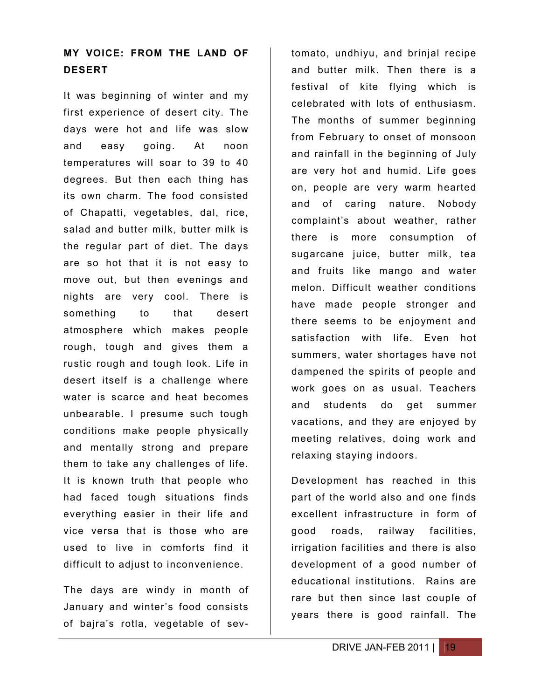## **MY VOICE: FROM THE LAND OF DESERT**

It was beginning of winter and my first experience of desert city. The days were hot and life was slow and easy going. At noon temperatures will soar to 39 to 40 degrees. But then each thing has its own charm. The food consisted of Chapatti, vegetables, dal, rice, salad and butter milk, butter milk is the regular part of diet. The days are so hot that it is not easy to move out, but then evenings and nights are very cool. There is something to that desert atmosphere which makes people rough, tough and gives them a rustic rough and tough look. Life in desert itself is a challenge where water is scarce and heat becomes unbearable. I presume such tough conditions make people physically and mentally strong and prepare them to take any challenges of life. It is known truth that people who had faced tough situations finds everything easier in their life and vice versa that is those who are used to live in comforts find it difficult to adjust to inconvenience.

The days are windy in month of January and winter's food consists of bajra's rotla, vegetable of sev-

tomato, undhiyu, and brinjal recipe and butter milk. Then there is a festival of kite flying which is celebrated with lots of enthusiasm. The months of summer beginning from February to onset of monsoon and rainfall in the beginning of July are very hot and humid. Life goes on, people are very warm hearted and of caring nature. Nobody complaint's about weather, rather there is more consumption of sugarcane juice, butter milk, tea and fruits like mango and water melon. Difficult weather conditions have made people stronger and there seems to be enjoyment and satisfaction with life. Even hot summers, water shortages have not dampened the spirits of people and work goes on as usual. Teachers and students do get summer vacations, and they are enjoyed by meeting relatives, doing work and relaxing staying indoors.

Development has reached in this part of the world also and one finds excellent infrastructure in form of good roads, railway facilities, irrigation facilities and there is also development of a good number of educational institutions. Rains are rare but then since last couple of years there is good rainfall. The